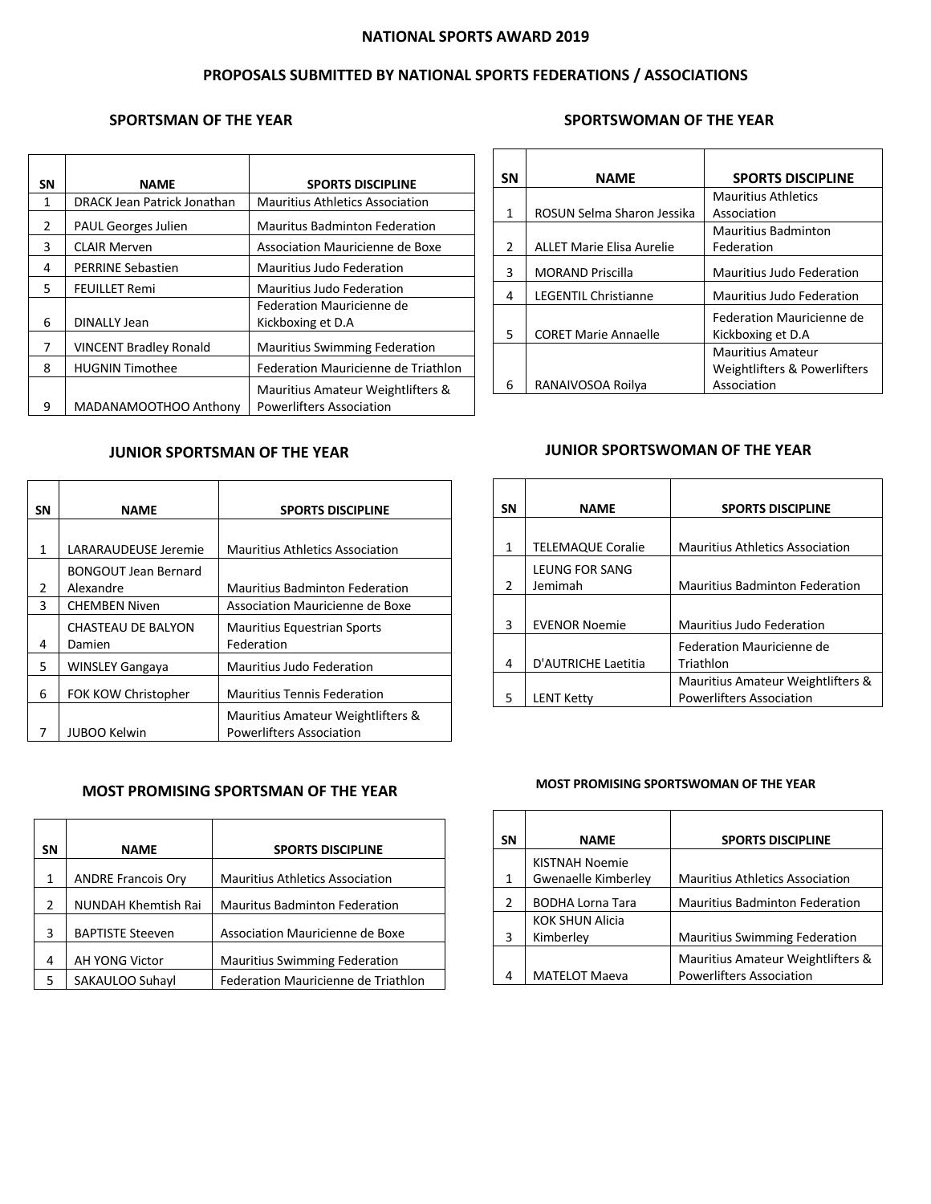# **NATIONAL SPORTS AWARD 2019**

# **PROPOSALS SUBMITTED BY NATIONAL SPORTS FEDERATIONS / ASSOCIATIONS**

# **SPORTSMAN OF THE YEAR**

| SΝ | <b>NAME</b>                        | <b>SPORTS DISCIPLINE</b>                                             |
|----|------------------------------------|----------------------------------------------------------------------|
| 1  | <b>DRACK Jean Patrick Jonathan</b> | <b>Mauritius Athletics Association</b>                               |
| 2  | PAUL Georges Julien                | <b>Mauritus Badminton Federation</b>                                 |
| 3  | <b>CLAIR Merven</b>                | Association Mauricienne de Boxe                                      |
| 4  | <b>PERRINE Sebastien</b>           | Mauritius Judo Federation                                            |
| 5  | <b>FEUILLET Remi</b>               | Mauritius Judo Federation                                            |
| 6  | DINALLY Jean                       | Federation Mauricienne de<br>Kickboxing et D.A                       |
| 7  | <b>VINCENT Bradley Ronald</b>      | <b>Mauritius Swimming Federation</b>                                 |
| 8  | <b>HUGNIN Timothee</b>             | Federation Mauricienne de Triathlon                                  |
| q  | MADANAMOOTHOO Anthony              | Mauritius Amateur Weightlifters &<br><b>Powerlifters Association</b> |

## **SPORTSWOMAN OF THE YEAR**

| SΝ            | <b>NAME</b>                      | <b>SPORTS DISCIPLINE</b>                       |
|---------------|----------------------------------|------------------------------------------------|
|               |                                  | <b>Mauritius Athletics</b>                     |
| 1             | ROSUN Selma Sharon Jessika       | Association                                    |
|               |                                  | <b>Mauritius Badminton</b>                     |
| $\mathcal{P}$ | <b>ALLET Marie Elisa Aurelie</b> | Federation                                     |
| 3             | <b>MORAND Priscilla</b>          | Mauritius Judo Federation                      |
| 4             | <b>LEGENTIL Christianne</b>      | Mauritius Judo Federation                      |
| 5.            | <b>CORET Marie Annaelle</b>      | Federation Mauricienne de<br>Kickboxing et D.A |
|               |                                  | <b>Mauritius Amateur</b>                       |
|               |                                  | Weightlifters & Powerlifters                   |
| 6             | RANAIVOSOA Roilya                | Association                                    |

# **JUNIOR SPORTSMAN OF THE YEAR**

| SΝ            | <b>NAME</b>                 | <b>SPORTS DISCIPLINE</b>               |
|---------------|-----------------------------|----------------------------------------|
|               |                             |                                        |
| 1             | LARARAUDEUSE Jeremie        | <b>Mauritius Athletics Association</b> |
|               | <b>BONGOUT Jean Bernard</b> |                                        |
| $\mathcal{P}$ | Alexandre                   | <b>Mauritius Badminton Federation</b>  |
| 3             | <b>CHEMBEN Niven</b>        | Association Mauricienne de Boxe        |
|               | <b>CHASTEAU DE BALYON</b>   | <b>Mauritius Equestrian Sports</b>     |
| 4             | Damien                      | Federation                             |
| 5             | <b>WINSLEY Gangaya</b>      | Mauritius Judo Federation              |
| 6             | FOK KOW Christopher         | <b>Mauritius Tennis Federation</b>     |
|               |                             | Mauritius Amateur Weightlifters &      |
|               | <b>JUBOO Kelwin</b>         | <b>Powerlifters Association</b>        |

### **MOST PROMISING SPORTSMAN OF THE YEAR**

| SΝ | <b>NAME</b>                | <b>SPORTS DISCIPLINE</b>               |
|----|----------------------------|----------------------------------------|
| 1  | <b>ANDRE Francois Ory</b>  | <b>Mauritius Athletics Association</b> |
| 2  | <b>NUNDAH Khemtish Rai</b> | <b>Mauritus Badminton Federation</b>   |
| 3  | <b>BAPTISTE Steeven</b>    | Association Mauricienne de Boxe        |
| 4  | <b>AH YONG Victor</b>      | <b>Mauritius Swimming Federation</b>   |
| 5  | SAKAULOO Suhayl            | Federation Mauricienne de Triathlon    |

# **JUNIOR SPORTSWOMAN OF THE YEAR**

| SΝ             | <b>NAME</b>               | <b>SPORTS DISCIPLINE</b>                                             |
|----------------|---------------------------|----------------------------------------------------------------------|
|                |                           |                                                                      |
| 1              | <b>TELEMAQUE Coralie</b>  | <b>Mauritius Athletics Association</b>                               |
| $\mathfrak{p}$ | LEUNG FOR SANG<br>Jemimah | <b>Mauritius Badminton Federation</b>                                |
| 3              | <b>EVENOR Noemie</b>      | <b>Mauritius Judo Federation</b>                                     |
| 4              | D'AUTRICHE Laetitia       | Federation Mauricienne de<br>Triathlon                               |
| 5              | <b>LENT Ketty</b>         | Mauritius Amateur Weightlifters &<br><b>Powerlifters Association</b> |

#### **MOST PROMISING SPORTSWOMAN OF THE YEAR**

| SΝ | <b>NAME</b>             | <b>SPORTS DISCIPLINE</b>                                             |
|----|-------------------------|----------------------------------------------------------------------|
|    | KISTNAH Noemie          |                                                                      |
| 1  | Gwenaelle Kimberley     | <b>Mauritius Athletics Association</b>                               |
| 2  | <b>BODHA Lorna Tara</b> | <b>Mauritius Badminton Federation</b>                                |
|    | <b>KOK SHUN Alicia</b>  |                                                                      |
| 3  | Kimberley               | <b>Mauritius Swimming Federation</b>                                 |
| 4  | <b>MATELOT Maeva</b>    | Mauritius Amateur Weightlifters &<br><b>Powerlifters Association</b> |